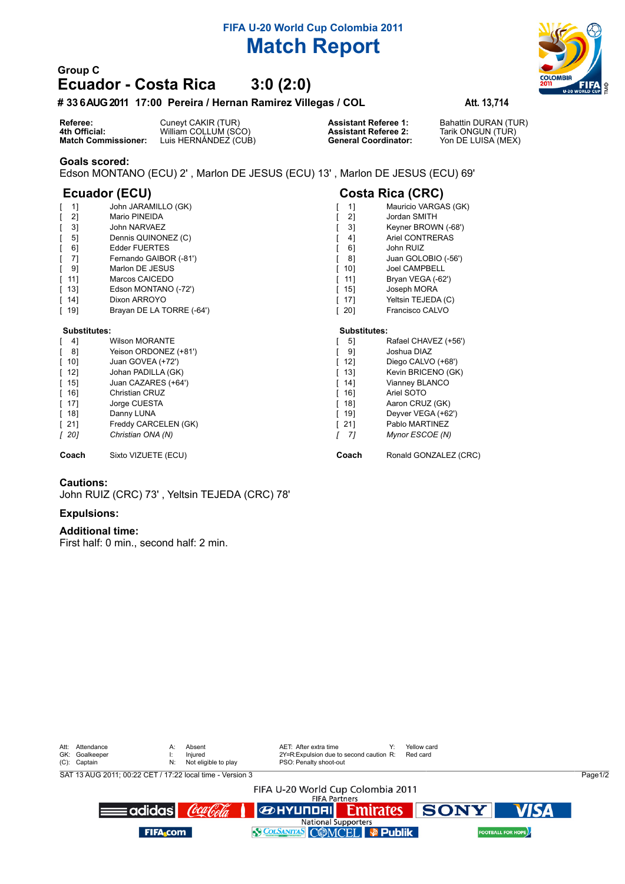# **FIFA U-20 World Cup Colombia 2011 Match Report**

## **Group C Ecuador - Costa Rica 3:0 (2:0)**

### **# 336 AUG 2011 17:00 Pereira / Hernan Ramirez Villegas / COL Att. 13,714**

**Referee:** Cuneyt CAKIR (TUR) **Assistant Referee 1:** Bahattin DURAN (TUR) **4th Official:** William COLLUM (SCO) **Assistant Referee 2:** Tarik ONGUN (TUR) **Match Commissioner:** Luis HERNÁNDEZ (CUB) **General Coordinator:** Yon DE LUISA (MEX)

#### **Goals scored:**

Edson MONTANO (ECU) 2' , Marlon DE JESUS (ECU) 13' , Marlon DE JESUS (ECU) 69'

## **Ecuador (ECU) Costa Rica (CRC)**

| 11                                 | John JARAMILLO (GK)       | 11                                 | Mauricio VARGAS (GK) |
|------------------------------------|---------------------------|------------------------------------|----------------------|
| 21                                 | Mario PINEIDA             | 21                                 | Jordan SMITH         |
| 31                                 | John NARVAEZ              | 31                                 | Keyner BROWN (-68')  |
| 51                                 | Dennis QUINONEZ (C)       | 41                                 | Ariel CONTRERAS      |
| 6]                                 | <b>Edder FUERTES</b>      | 61                                 | John RUIZ            |
| 71                                 | Fernando GAIBOR (-81')    | 81                                 | Juan GOLOBIO (-56')  |
| 91                                 | Marlon DE JESUS           | 101                                | <b>Joel CAMPBELL</b> |
| [11]                               | Marcos CAICEDO            | [11]                               | Bryan VEGA (-62')    |
| $\lceil$ 13]                       | Edson MONTANO (-72')      | $\lceil$ 15]                       | Joseph MORA          |
| $\begin{bmatrix} 14 \end{bmatrix}$ | Dixon ARROYO              | [17]                               | Yeltsin TEJEDA (C)   |
| $[ 19]$                            | Brayan DE LA TORRE (-64') | $\begin{bmatrix} 20 \end{bmatrix}$ | Francisco CALVO      |
|                                    |                           |                                    |                      |
|                                    |                           |                                    |                      |
| Substitutes:                       |                           | Substitutes:                       |                      |
| 41                                 | <b>Wilson MORANTE</b>     | 51                                 | Rafael CHAVEZ (+56') |
| 81                                 | Yeison ORDONEZ (+81')     | 91                                 | Joshua DIAZ          |
| $\lceil 10 \rceil$                 | Juan GOVEA (+72')         | 12]                                | Diego CALVO (+68')   |
| $\lceil$ 12]                       | Johan PADILLA (GK)        | $\begin{bmatrix} 13 \end{bmatrix}$ | Kevin BRICENO (GK)   |
| $\lceil$ 15]                       | Juan CAZARES (+64')       | $\begin{bmatrix} 14 \end{bmatrix}$ | Vianney BLANCO       |
| $\lceil 16 \rceil$                 | Christian CRUZ            | 16]                                | Ariel SOTO           |
| $[ 17]$                            | Jorge CUESTA              | 18]<br>L                           | Aaron CRUZ (GK)      |
| $\lceil$ 18]                       | Danny LUNA                | [19]                               | Deyver VEGA (+62')   |
| $[21]$                             | Freddy CARCELEN (GK)      | [21]                               | Pablo MARTINEZ       |
| [20]                               | Christian ONA (N)         | -71                                | Mynor ESCOE (N)      |

**Coach** Sixto VIZUETE (ECU) **Coach Coach** Ronald GONZALEZ (CRC)

#### **Cautions:**

John RUIZ (CRC) 73' , Yeltsin TEJEDA (CRC) 78'

#### **Expulsions:**

#### **Additional time:**

First half: 0 min., second half: 2 min.

|                                                           | Att: Attendance<br>GK: Goalkeeper<br>(C): Captain         | $A$ :<br>N: | Absent<br>Injured<br>Not eligible to play |  | AET: After extra time<br>PSO: Penalty shoot-out | 2Y=R:Expulsion due to second caution R: |  | Yellow card<br>Red card |                            |         |  |
|-----------------------------------------------------------|-----------------------------------------------------------|-------------|-------------------------------------------|--|-------------------------------------------------|-----------------------------------------|--|-------------------------|----------------------------|---------|--|
|                                                           | SAT 13 AUG 2011: 00:22 CET / 17:22 local time - Version 3 |             |                                           |  |                                                 |                                         |  |                         |                            | Page1/2 |  |
| FIFA U-20 World Cup Colombia 2011<br><b>FIFA Partners</b> |                                                           |             |                                           |  |                                                 |                                         |  |                         |                            |         |  |
|                                                           | =adidas <b>l</b>                                          |             | Coca Cola                                 |  |                                                 |                                         |  | <b>BERTY OF SONY</b>    | <b>VISA</b>                |         |  |
| <b>National Supporters</b>                                |                                                           |             |                                           |  |                                                 |                                         |  |                         |                            |         |  |
|                                                           | <b>FIFA</b> com                                           |             |                                           |  | S COLSANITAS COMCEL P Publik                    |                                         |  |                         | <b>FOOTBALL FOR HOPE</b> ) |         |  |